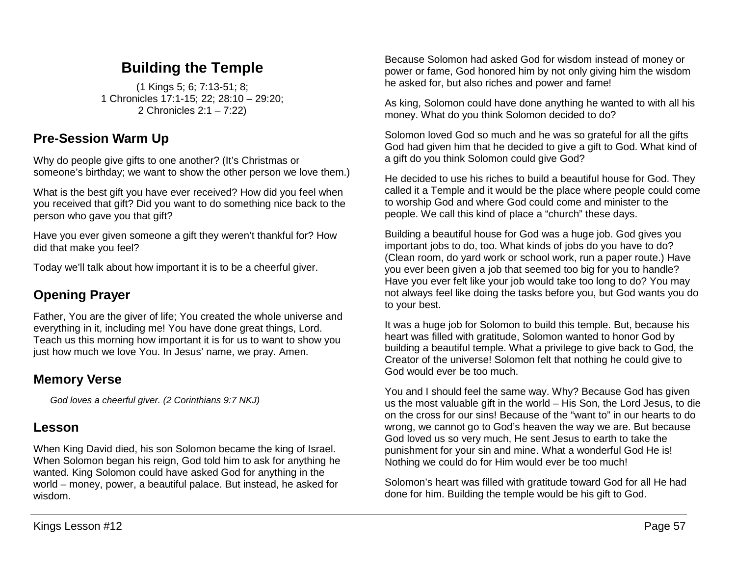# **Building the Temple**

(1 Kings 5; 6; 7:13-51; 8; 1 Chronicles 17:1-15; 22; 28:10 – 29:20; 2 Chronicles 2:1 – 7:22)

### **Pre-Session Warm Up**

Why do people give gifts to one another? (It's Christmas or someone's birthday; we want to show the other person we love them.)

What is the best gift you have ever received? How did you feel when you received that gift? Did you want to do something nice back to the person who gave you that gift?

Have you ever given someone a gift they weren't thankful for? How did that make you feel?

Today we'll talk about how important it is to be a cheerful giver.

# **Opening Prayer**

Father, You are the giver of life; You created the whole universe and everything in it, including me! You have done great things, Lord. Teach us this morning how important it is for us to want to show you just how much we love You. In Jesus' name, we pray. Amen.

# **Memory Verse**

*God loves a cheerful giver. (2 Corinthians 9:7 NKJ)*

## **Lesson**

When King David died, his son Solomon became the king of Israel. When Solomon began his reign, God told him to ask for anything he wanted. King Solomon could have asked God for anything in the world – money, power, a beautiful palace. But instead, he asked for wisdom.

Because Solomon had asked God for wisdom instead of money or power or fame, God honored him by not only giving him the wisdom he asked for, but also riches and power and fame!

As king, Solomon could have done anything he wanted to with all his money. What do you think Solomon decided to do?

Solomon loved God so much and he was so grateful for all the gifts God had given him that he decided to give a gift to God. What kind of a gift do you think Solomon could give God?

He decided to use his riches to build a beautiful house for God. They called it a Temple and it would be the place where people could come to worship God and where God could come and minister to the people. We call this kind of place a "church" these days.

Building a beautiful house for God was a huge job. God gives you important jobs to do, too. What kinds of jobs do you have to do? (Clean room, do yard work or school work, run a paper route.) Have you ever been given a job that seemed too big for you to handle? Have you ever felt like your job would take too long to do? You may not always feel like doing the tasks before you, but God wants you do to your best.

It was a huge job for Solomon to build this temple. But, because his heart was filled with gratitude, Solomon wanted to honor God by building a beautiful temple. What a privilege to give back to God, the Creator of the universe! Solomon felt that nothing he could give to God would ever be too much.

You and I should feel the same way. Why? Because God has given us the most valuable gift in the world – His Son, the Lord Jesus, to die on the cross for our sins! Because of the "want to" in our hearts to do wrong, we cannot go to God's heaven the way we are. But because God loved us so very much, He sent Jesus to earth to take the punishment for your sin and mine. What a wonderful God He is! Nothing we could do for Him would ever be too much!

Solomon's heart was filled with gratitude toward God for all He had done for him. Building the temple would be his gift to God.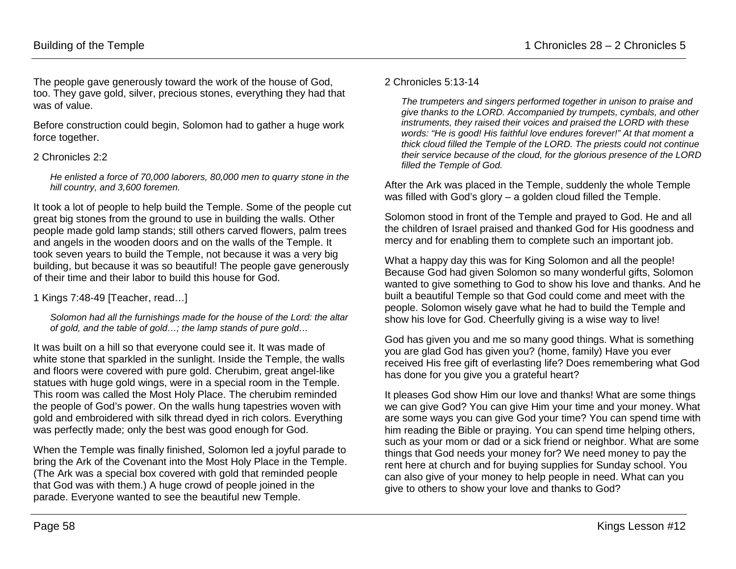The people gave generously toward the work of the house of God, too. They gave gold, silver, precious stones, everything they had that was of value.

Before construction could begin, Solomon had to gather a huge work force together.

### 2 Chronicles 2:2

*He enlisted a force of 70,000 laborers, 80,000 men to quarry stone in the hill country, and 3,600 foremen.* 

It took a lot of people to help build the Temple. Some of the people cut great big stones from the ground to use in building the walls. Other people made gold lamp stands; still others carved flowers, palm trees and angels in the wooden doors and on the walls of the Temple. It took seven years to build the Temple, not because it was a very big building, but because it was so beautiful! The people gave generously of their time and their labor to build this house for God.

1 Kings 7:48-49 [Teacher, read…]

*Solomon had all the furnishings made for the house of the Lord: the altar of gold, and the table of gold…; the lamp stands of pure gold…*

It was built on a hill so that everyone could see it. It was made of white stone that sparkled in the sunlight. Inside the Temple, the walls and floors were covered with pure gold. Cherubim, great angel-like statues with huge gold wings, were in a special room in the Temple. This room was called the Most Holy Place. The cherubim reminded the people of God's power. On the walls hung tapestries woven with gold and embroidered with silk thread dyed in rich colors. Everything was perfectly made; only the best was good enough for God.

When the Temple was finally finished, Solomon led a joyful parade to bring the Ark of the Covenant into the Most Holy Place in the Temple. (The Ark was a special box covered with gold that reminded people that God was with them.) A huge crowd of people joined in the parade. Everyone wanted to see the beautiful new Temple.

#### 2 Chronicles 5:13-14

*The trumpeters and singers performed together in unison to praise and give thanks to the LORD. Accompanied by trumpets, cymbals, and other instruments, they raised their voices and praised the LORD with these words: "He is good! His faithful love endures forever!" At that moment a thick cloud filled the Temple of the LORD. The priests could not continue their service because of the cloud, for the glorious presence of the LORD filled the Temple of God.* 

After the Ark was placed in the Temple, suddenly the whole Temple was filled with God's glory – a golden cloud filled the Temple.

Solomon stood in front of the Temple and prayed to God. He and all the children of Israel praised and thanked God for His goodness and mercy and for enabling them to complete such an important job.

What a happy day this was for King Solomon and all the people! Because God had given Solomon so many wonderful gifts, Solomon wanted to give something to God to show his love and thanks. And he built a beautiful Temple so that God could come and meet with the people. Solomon wisely gave what he had to build the Temple and show his love for God. Cheerfully giving is a wise way to live!

God has given you and me so many good things. What is something you are glad God has given you? (home, family) Have you ever received His free gift of everlasting life? Does remembering what God has done for you give you a grateful heart?

It pleases God show Him our love and thanks! What are some things we can give God? You can give Him your time and your money. What are some ways you can give God your time? You can spend time with him reading the Bible or praying. You can spend time helping others, such as your mom or dad or a sick friend or neighbor. What are some things that God needs your money for? We need money to pay the rent here at church and for buying supplies for Sunday school. You can also give of your money to help people in need. What can you give to others to show your love and thanks to God?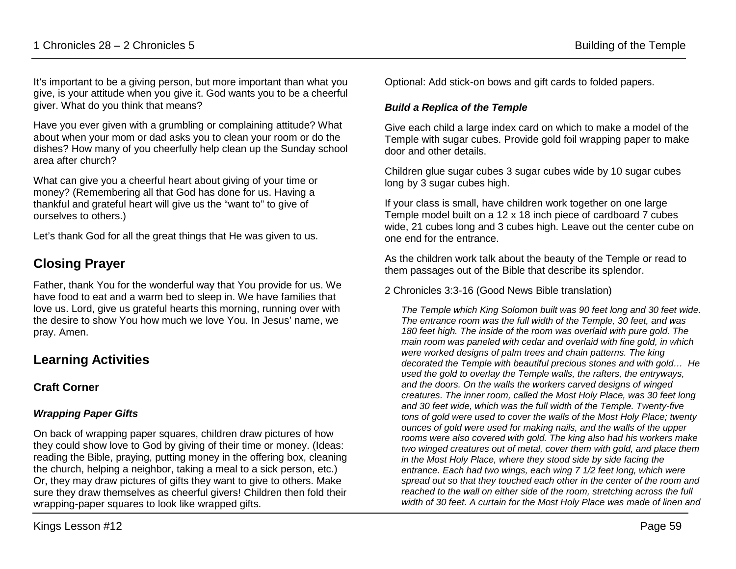It's important to be a giving person, but more important than what you give, is your attitude when you give it. God wants you to be a cheerful giver. What do you think that means?

Have you ever given with a grumbling or complaining attitude? What about when your mom or dad asks you to clean your room or do the dishes? How many of you cheerfully help clean up the Sunday school area after church?

What can give you a cheerful heart about giving of your time or money? (Remembering all that God has done for us. Having a thankful and grateful heart will give us the "want to" to give of ourselves to others.)

Let's thank God for all the great things that He was given to us.

## **Closing Prayer**

Father, thank You for the wonderful way that You provide for us. We have food to eat and a warm bed to sleep in. We have families that love us. Lord, give us grateful hearts this morning, running over with the desire to show You how much we love You. In Jesus' name, we pray. Amen.

### **Learning Activities**

### **Craft Corner**

#### *Wrapping Paper Gifts*

On back of wrapping paper squares, children draw pictures of how they could show love to God by giving of their time or money. (Ideas: reading the Bible, praying, putting money in the offering box, cleaning the church, helping a neighbor, taking a meal to a sick person, etc.) Or, they may draw pictures of gifts they want to give to others. Make sure they draw themselves as cheerful givers! Children then fold their wrapping-paper squares to look like wrapped gifts.

Optional: Add stick-on bows and gift cards to folded papers.

#### *Build a Replica of the Temple*

Give each child a large index card on which to make a model of the Temple with sugar cubes. Provide gold foil wrapping paper to make door and other details.

Children glue sugar cubes 3 sugar cubes wide by 10 sugar cubes long by 3 sugar cubes high.

If your class is small, have children work together on one large Temple model built on a 12 x 18 inch piece of cardboard 7 cubes wide, 21 cubes long and 3 cubes high. Leave out the center cube on one end for the entrance.

As the children work talk about the beauty of the Temple or read to them passages out of the Bible that describe its splendor.

2 Chronicles 3:3-16 (Good News Bible translation)

*The Temple which King Solomon built was 90 feet long and 30 feet wide. The entrance room was the full width of the Temple, 30 feet, and was 180 feet high. The inside of the room was overlaid with pure gold. The main room was paneled with cedar and overlaid with fine gold, in which were worked designs of palm trees and chain patterns. The king decorated the Temple with beautiful precious stones and with gold… He used the gold to overlay the Temple walls, the rafters, the entryways, and the doors. On the walls the workers carved designs of winged creatures. The inner room, called the Most Holy Place, was 30 feet long and 30 feet wide, which was the full width of the Temple. Twenty-five tons of gold were used to cover the walls of the Most Holy Place; twenty ounces of gold were used for making nails, and the walls of the upper rooms were also covered with gold. The king also had his workers make two winged creatures out of metal, cover them with gold, and place them in the Most Holy Place, where they stood side by side facing the entrance. Each had two wings, each wing 7 1/2 feet long, which were spread out so that they touched each other in the center of the room and reached to the wall on either side of the room, stretching across the full width of 30 feet. A curtain for the Most Holy Place was made of linen and*